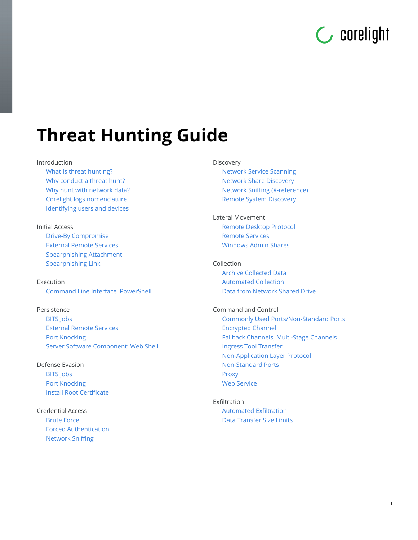# **C** corelight

# **Threat Hunting Guide**

#### Introduction

[What is threat hunting?](#page-1-0) [Why conduct a threat hunt?](#page-1-1) [Why hunt with network data?](#page-2-0) [Corelight logs nomenclature](#page-2-1) [Identifying users and devices](#page-3-0)

#### Initial Access

[Drive-By Compromise](#page-6-0) [External Remote Services](#page-6-1) [Spearphishing Attachment](#page-8-0) [Spearphishing Link](#page-9-0)

#### Execution [Command Line Interface, PowerShell](#page-10-0)

#### Persistence

[BITS Jobs](#page-11-0) [External Remote Services](#page-12-0) [Port Knocking](#page-12-1) [Server Software Component: Web Shell](#page-12-2)

# Defense Evasion

[BITS Jobs](#page-11-0) [Port Knocking](#page-13-0) [Install Root Certificate](#page-14-0)

Credential Access [Brute Force](#page-14-1) [Forced Authentication](#page-15-0) [Network Sniffing](#page-16-0)

#### Discovery

[Network Service Scanning](#page-17-0) [Network Share Discovery](#page-18-0) [Network Sniffing \(X-reference\)](#page-18-1) [Remote System Discovery](#page-18-2)

#### Lateral Movement [Remote Desktop Protocol](#page-18-3) [Remote Services](#page-19-0) [Windows Admin Shares](#page-20-0)

#### Collection

[Archive Collected Data](#page-21-0) [Automated Collection](#page-21-1) [Data from Network Shared Drive](#page-21-2)

#### Command and Control

[Commonly Used Ports/Non-Standard Ports](#page-22-0) [Encrypted Channel](#page-23-0) [Fallback Channels, Multi-Stage Channels](#page-23-1) [Ingress Tool Transfer](#page-24-0) [Non-Application Layer Protocol](#page-26-0) [Non-Standard Ports](#page-28-0) [Proxy](#page-29-0) [Web Service](#page-30-0)

#### Exfiltration [Automated Exfiltration](#page-31-0) [Data Transfer Size Limits](#page-31-1)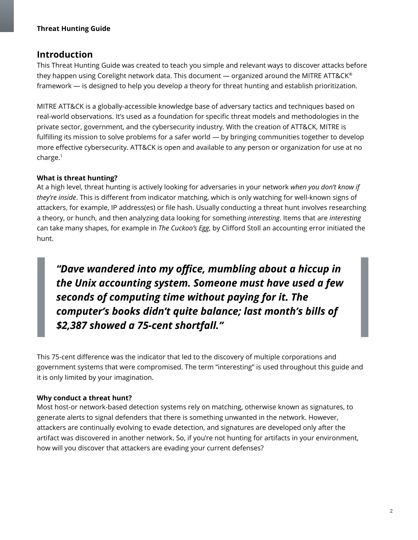# **Introduction**

This Threat Hunting Guide was created to teach you simple and relevant ways to discover attacks before they happen using Corelight network data. This document — organized around the MITRE ATT&CK® framework — is designed to help you develop a theory for threat hunting and establish prioritization.

MITRE ATT&CK is a globally-accessible knowledge base of adversary tactics and techniques based on real-world observations. It's used as a foundation for specific threat models and methodologies in the private sector, government, and the cybersecurity industry. With the creation of ATT&CK, MITRE is fulfilling its mission to solve problems for a safer world — by bringing communities together to develop more effective cybersecurity. ATT&CK is open and available to any person or organization for use at no charge. 1

#### <span id="page-1-0"></span>**What is threat hunting?**

At a high level, threat hunting is actively looking for adversaries in your network *when you don't know if they're inside*. This is different from indicator matching, which is only watching for well-known signs of attackers, for example, IP address(es) or file hash. Usually conducting a threat hunt involves researching a theory, or hunch, and then analyzing data looking for something *interesting*. Items that are *interesting* can take many shapes, for example in *The Cuckoo's Egg*, by Clifford Stoll an accounting error initiated the hunt.

"Dave wandered into my office, mumbling about a hiccup in the Unix accounting system. Someone must have used a few seconds of computing time without paying for it. The computer's books didn't quite balance; last month's bills of \$2,387 showed a 75-cent shortfall."

This 75-cent difference was the indicator that led to the discovery of multiple corporations and government systems that were compromised. The term "interesting" is used throughout this guide and it is only limited by your imagination.

#### <span id="page-1-1"></span>**Why conduct a threat hunt?**

Most host-or network-based detection systems rely on matching, otherwise known as signatures, to generate alerts to signal defenders that there is something unwanted in the network. However, attackers are continually evolving to evade detection, and signatures are developed only after the artifact was discovered in another network. So, if you're not hunting for artifacts in your environment, how will you discover that attackers are evading your current defenses?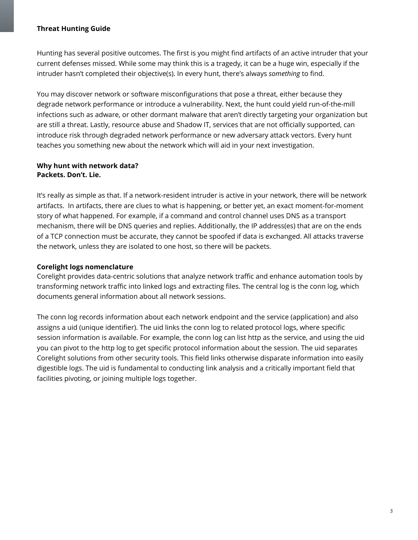Hunting has several positive outcomes. The first is you might find artifacts of an active intruder that your current defenses missed. While some may think this is a tragedy, it can be a huge win, especially if the intruder hasn't completed their objective(s). In every hunt, there's always *something* to find.

You may discover network or software misconfigurations that pose a threat, either because they degrade network performance or introduce a vulnerability. Next, the hunt could yield run-of-the-mill infections such as adware, or other dormant malware that aren't directly targeting your organization but are still a threat. Lastly, resource abuse and Shadow IT, services that are not officially supported, can introduce risk through degraded network performance or new adversary attack vectors. Every hunt teaches you something new about the network which will aid in your next investigation.

#### <span id="page-2-0"></span>**Why hunt with network data? Packets. Don't. Lie.**

It's really as simple as that. If a network-resident intruder is active in your network, there will be network artifacts. In artifacts, there are clues to what is happening, or better yet, an exact moment-for-moment story of what happened. For example, if a command and control channel uses DNS as a transport mechanism, there will be DNS queries and replies. Additionally, the IP address(es) that are on the ends of a TCP connection must be accurate, they cannot be spoofed if data is exchanged. All attacks traverse the network, unless they are isolated to one host, so there will be packets.

#### <span id="page-2-1"></span>**Corelight logs nomenclature**

Corelight provides data-centric solutions that analyze network traffic and enhance automation tools by transforming network traffic into linked logs and extracting files. The central log is the conn log, which documents general information about all network sessions.

The conn log records information about each network endpoint and the service (application) and also assigns a uid (unique identifier). The uid links the conn log to related protocol logs, where specific session information is available. For example, the conn log can list http as the service, and using the uid you can pivot to the http log to get specific protocol information about the session. The uid separates Corelight solutions from other security tools. This field links otherwise disparate information into easily digestible logs. The uid is fundamental to conducting link analysis and a critically important field that facilities pivoting, or joining multiple logs together.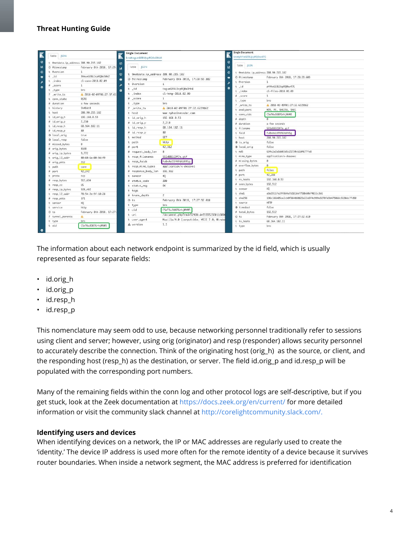| Table JSON                                |                           | <b>Single Document</b><br>bro#txgueGEBUIcpRQ0oDhb8 |                                                   | <b>Single Document</b><br>bro#phYteGEBUJcpRQ0ov47G |                                                                  |
|-------------------------------------------|---------------------------|----------------------------------------------------|---------------------------------------------------|----------------------------------------------------|------------------------------------------------------------------|
|                                           |                           |                                                    |                                                   |                                                    |                                                                  |
| O @timestamp                              | February 8th 2018, 17:29: | Table JSON<br>'nГ                                  |                                                   | Table JSON<br>巨                                    |                                                                  |
| t @version                                | $\mathbf{1}$              |                                                    |                                                   | $\circ$<br>t @metdata.ip_address 208.90.215.182    |                                                                  |
| $\circ$<br>3hkueGEBUJcpRQ0oS0k2<br>$t$ id |                           |                                                    | t @metdata.ip_address 208.90.215.182<br>$\bullet$ |                                                    | February 8th 2018, 17:28:39.603                                  |
| $t$ _index                                | cl-conn-2018.02.09        | @ <sup>9</sup> timestamp<br>$\bullet$              | February 8th 2018, 17:28:59.882                   | © @timestamp<br>t @version                         | $\mathbf{1}$                                                     |
| $#$ _score                                | $\mathbf{1}$              | t @version                                         | $\mathbf{1}$                                      | $t$ _id                                            | phYteGEBUJcpRQ0ov47G                                             |
| t _type                                   | bro                       | $t$ $id$<br>۰                                      | txgueGEBUJcpRQ@oDhb8                              | ۰<br>t _index                                      | cl-files-2018.02.09                                              |
| ? _write_ts                               | A 2018-02-09T01:27:37.61  | $t$ _index                                         | cl-http-2018.02.09                                | $#$ score                                          | $\mathbf{1}$                                                     |
| t conn_state                              | <b>RSTO</b>               | $#$ _score                                         | $\mathbf{1}$                                      | t type                                             | bro                                                              |
| # duration                                | a few seconds             | t _type                                            | bro                                               | ? _write_ts                                        | 2018-02-09T01:27:32.622916Z                                      |
| t history                                 | ShADdtR                   | ? write ts                                         | A 2018-02-09T01:27:32.622916Z                     | t analyzers                                        | MD5, PE, SHA256, SHA1                                            |
| t host                                    | 208.90.215.182            | t host                                             | www.mybusinessdoc.com                             | t conn_uids                                        | CSeT6u3007GrhjWWN5                                               |
| t id_orig_h                               | 192.168.0.53              | t id_orig_h                                        | 192.168.0.53                                      | # depth                                            | $\theta$                                                         |
| # id_orig_p                               | 2,210                     | # id_orig_p                                        | 2,210                                             | # duration                                         | a few seconds                                                    |
| t id_resp_h                               | 68.164.182.11             | t id_resp_h                                        | 68.164.182.11                                     | t filename                                         | 551d88323f7e.gif                                                 |
| # id_resp_p                               | 80                        | # id resp p                                        | 80                                                | t fuid                                             | Fv@xAo1XfKF6XdVVSg                                               |
| O local_orig                              | true                      | t method                                           | <b>GET</b>                                        |                                                    | 208.90.215.182                                                   |
| O local_resp                              | false                     | t path                                             | http                                              | t host                                             |                                                                  |
| # missed_bytes                            | $\Omega$                  |                                                    |                                                   | $0$ is orig                                        | false                                                            |
| # orig bytes                              | <b>816B</b>               | # port                                             | 42,312                                            | O local_orig                                       | false                                                            |
| # orig_ip_bytes                           | 9.772                     | # request_body_len                                 | $\theta$                                          | $t$ mdS                                            | 634c2a2a3ab03d5c21730c62d4677fe8                                 |
| t orig_12_addr                            | 00:60:6e:00:9d:f9         | t resp_filenames                                   | 551d88323f7e.gif                                  | t mime_type                                        | application/x-dosexec                                            |
| # orig_pkts                               | 212                       | t resp_fuids                                       | Fv@xAo1XfKF6XdVVSq                                | # missing_bytes                                    | $\theta$                                                         |
| t path                                    | conn                      | t resp_mime_types                                  | application/x-dosexec                             | # overflow_bytes                                   | $\theta$                                                         |
| # port                                    | 42,242                    | # response_body_len                                | 192,512                                           | t path                                             | files                                                            |
| t proto                                   | tcp                       | t sensor                                           | HQ                                                | # port                                             | 42,288                                                           |
| # resp_bytes                              | 513.634                   | # status code                                      | 200                                               | t rx_hosts                                         | 192.168.0.53                                                     |
| t resp_cc                                 | US:                       | t status_msg                                       | <b>OK</b>                                         | # seen bytes                                       | 192.512                                                          |
| # resp_ip_bytes                           | 528,482                   | t tags                                             |                                                   | t sensor                                           | HO                                                               |
| t resp_l2_addr                            | 78:54:2e:9f:10:28         | # trans_depth                                      | $\mathbf{Z}$                                      | t shal                                             | a9a1911fe2ff864a7d181bb7750b60b74033c3b1                         |
| # resp_pkts                               | 371                       | $@$ ts                                             | February 8th 2018, 17:27:32.610                   | $t$ sha256                                         | 196c186b05ce2cb0f964080823d22a5f4c999e3270fd3b475068c5130dc7fd50 |
| t sensor                                  | HO                        | t type                                             | bro                                               | t source                                           | <b>HTTP</b>                                                      |
| t service                                 | http                      | t uid                                              | CSeT6u3007GrhjWWI5                                | O timedout                                         | false                                                            |
| $O$ ts                                    | February 8th 2018, 17:27: |                                                    |                                                   | # total_bytes                                      | 192,512                                                          |
| ? tunnel_parents                          | $\triangle$               | t uri                                              | /document.php?rnd=5292&id=5555525E01160D          | $O$ ts                                             | February 8th 2018, 17:27:32.610                                  |
| t type                                    | bro                       | t user_agent                                       | Mozilla/4.0 (compatible; MSIE 7.0; Window         | t tx_hosts                                         | 68.164.182.11                                                    |
| t uid                                     | CSeT6u3007GrhjWWS         | A version                                          | 1.1                                               | t type                                             | bro                                                              |

The information about each network endpoint is summarized by the id field, which is usually represented as four separate fields:

- id.orig\_h
- id.orig p
- id.resp\_h
- id.resp\_p

This nomenclature may seem odd to use, because networking personnel traditionally refer to sessions using client and server; however, using orig (originator) and resp (responder) allows security personnel to accurately describe the connection. Think of the originating host (orig\_h) as the source, or client, and the responding host (resp h) as the destination, or server. The field id.orig p and id.resp p will be populated with the corresponding port numbers.

Many of the remaining fields within the conn log and other protocol logs are self-descriptive, but if you get stuck, look at the Zeek documentation at <https://docs.zeek.org/en/current/> for more detailed information or visit the community slack channel at <http://corelightcommunity.slack.com/>.

#### <span id="page-3-0"></span>**Identifying users and devices**

When identifying devices on a network, the IP or MAC addresses are regularly used to create the 'identity.' The device IP address is used more often for the remote identity of a device because it survives router boundaries. When inside a network segment, the MAC address is preferred for identification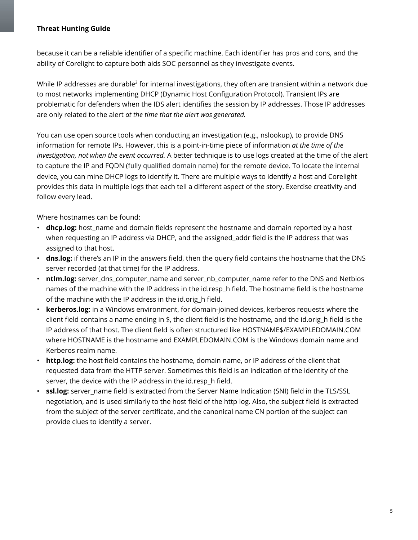because it can be a reliable identifier of a specific machine. Each identifier has pros and cons, and the ability of Corelight to capture both aids SOC personnel as they investigate events.

While IP addresses are durable<sup>2</sup> for internal investigations, they often are transient within a network due to most networks implementing DHCP (Dynamic Host Configuration Protocol). Transient IPs are problematic for defenders when the IDS alert identifies the session by IP addresses. Those IP addresses are only related to the alert *at the time that the alert was generated.*

You can use open source tools when conducting an investigation (e.g., nslookup), to provide DNS information for remote IPs. However, this is a point-in-time piece of information *at the time of the investigation, not when the event occurred.* A better technique is to use logs created at the time of the alert to capture the IP and FQDN (fully qualified domain name) for the remote device. To locate the internal device, you can mine DHCP logs to identify it. There are multiple ways to identify a host and Corelight provides this data in multiple logs that each tell a different aspect of the story. Exercise creativity and follow every lead.

Where hostnames can be found:

- **dhcp.log:** host\_name and domain fields represent the hostname and domain reported by a host when requesting an IP address via DHCP, and the assigned addr field is the IP address that was assigned to that host.
- **dns.log:** if there's an IP in the answers field, then the query field contains the hostname that the DNS server recorded (at that time) for the IP address.
- **ntlm.log:** server dns computer name and server nb computer name refer to the DNS and Netbios names of the machine with the IP address in the id.resp\_h field. The hostname field is the hostname of the machine with the IP address in the id.orig h field.
- **kerberos.log:** in a Windows environment, for domain-joined devices, kerberos requests where the client field contains a name ending in \$, the client field is the hostname, and the id.orig h field is the IP address of that host. The client field is often structured like HOSTNAME\$/EXAMPLEDOMAIN.COM where HOSTNAME is the hostname and EXAMPLEDOMAIN.COM is the Windows domain name and Kerberos realm name.
- **http.log:** the host field contains the hostname, domain name, or IP address of the client that requested data from the HTTP server. Sometimes this field is an indication of the identity of the server, the device with the IP address in the id.resp h field.
- ssl.log: server name field is extracted from the Server Name Indication (SNI) field in the TLS/SSL negotiation, and is used similarly to the host field of the http log. Also, the subject field is extracted from the subject of the server certificate, and the canonical name CN portion of the subject can provide clues to identify a server.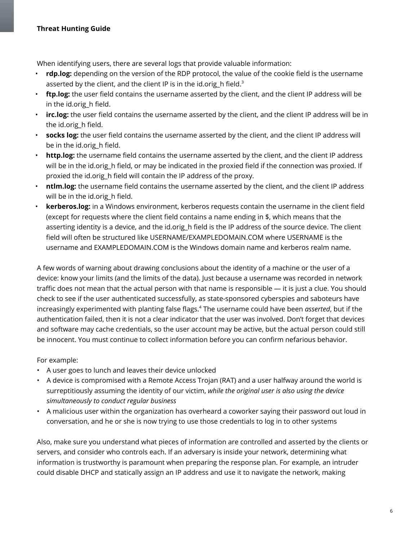When identifying users, there are several logs that provide valuable information:

- **rdp.log:** depending on the version of the RDP protocol, the value of the cookie field is the username asserted by the client, and the client IP is in the id.orig\_h field. $^3$
- **ftp.log:** the user field contains the username asserted by the client, and the client IP address will be in the id.orig h field.
- **irc.log:** the user field contains the username asserted by the client, and the client IP address will be in the id.orig h field.
- **socks log:** the user field contains the username asserted by the client, and the client IP address will be in the id.orig\_h field.
- **http.log:** the username field contains the username asserted by the client, and the client IP address will be in the id.orig h field, or may be indicated in the proxied field if the connection was proxied. If proxied the id.orig\_h field will contain the IP address of the proxy.
- **ntlm.log:** the username field contains the username asserted by the client, and the client IP address will be in the id.orig h field.
- **kerberos.log:** in a Windows environment, kerberos requests contain the username in the client field (except for requests where the client field contains a name ending in \$, which means that the asserting identity is a device, and the id.orig h field is the IP address of the source device. The client field will often be structured like USERNAME/EXAMPLEDOMAIN.COM where USERNAME is the username and EXAMPLEDOMAIN.COM is the Windows domain name and kerberos realm name.

A few words of warning about drawing conclusions about the identity of a machine or the user of a device: know your limits (and the limits of the data). Just because a username was recorded in network traffic does not mean that the actual person with that name is responsible — it is just a clue. You should check to see if the user authenticated successfully, as state-sponsored cyberspies and saboteurs have increasingly experimented with planting false flags. 4 The username could have been *asserted*, but if the authentication failed, then it is not a clear indicator that the user was involved. Don't forget that devices and software may cache credentials, so the user account may be active, but the actual person could still be innocent. You must continue to collect information before you can confirm nefarious behavior.

For example:

- A user goes to lunch and leaves their device unlocked
- A device is compromised with a Remote Access Trojan (RAT) and a user halfway around the world is surreptitiously assuming the identity of our victim, *while the original user is also using the device simultaneously to conduct regular business*
- A malicious user within the organization has overheard a coworker saying their password out loud in conversation, and he or she is now trying to use those credentials to log in to other systems

Also, make sure you understand what pieces of information are controlled and asserted by the clients or servers, and consider who controls each. If an adversary is inside your network, determining what information is trustworthy is paramount when preparing the response plan. For example, an intruder could disable DHCP and statically assign an IP address and use it to navigate the network, making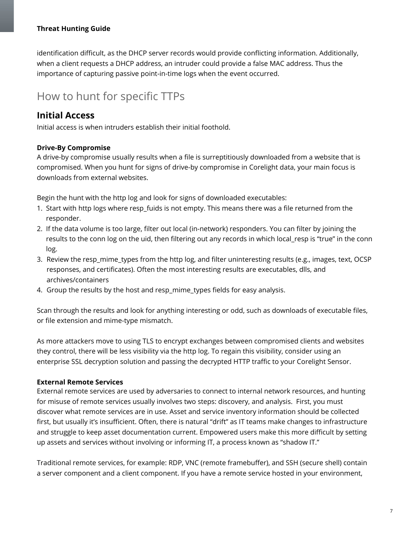identification difficult, as the DHCP server records would provide conflicting information. Additionally, when a client requests a DHCP address, an intruder could provide a false MAC address. Thus the importance of capturing passive point-in-time logs when the event occurred.

# How to hunt for specific TTPs

# **Initial Access**

Initial access is when intruders establish their initial foothold.

# <span id="page-6-0"></span>**Drive-By Compromise**

A drive-by compromise usually results when a file is surreptitiously downloaded from a website that is compromised. When you hunt for signs of drive-by compromise in Corelight data, your main focus is downloads from external websites.

Begin the hunt with the http log and look for signs of downloaded executables:

- 1. Start with http logs where resp fuids is not empty. This means there was a file returned from the responder.
- 2. If the data volume is too large, filter out local (in-network) responders. You can filter by joining the results to the conn log on the uid, then filtering out any records in which local\_resp is "true" in the conn log.
- 3. Review the resp mime types from the http log, and filter uninteresting results (e.g., images, text, OCSP responses, and certificates). Often the most interesting results are executables, dlls, and archives/containers
- 4. Group the results by the host and resp\_mime\_types fields for easy analysis.

Scan through the results and look for anything interesting or odd, such as downloads of executable files, or file extension and mime-type mismatch.

As more attackers move to using TLS to encrypt exchanges between compromised clients and websites they control, there will be less visibility via the http log. To regain this visibility, consider using an enterprise SSL decryption solution and passing the decrypted HTTP traffic to your Corelight Sensor.

# <span id="page-6-1"></span>**External Remote Services**

External remote services are used by adversaries to connect to internal network resources, and hunting for misuse of remote services usually involves two steps: discovery, and analysis. First, you must discover what remote services are in use. Asset and service inventory information should be collected first, but usually it's insufficient. Often, there is natural "drift" as IT teams make changes to infrastructure and struggle to keep asset documentation current. Empowered users make this more difficult by setting up assets and services without involving or informing IT, a process known as "shadow IT."

Traditional remote services, for example: RDP, VNC (remote framebuffer), and SSH (secure shell) contain a server component and a client component. If you have a remote service hosted in your environment,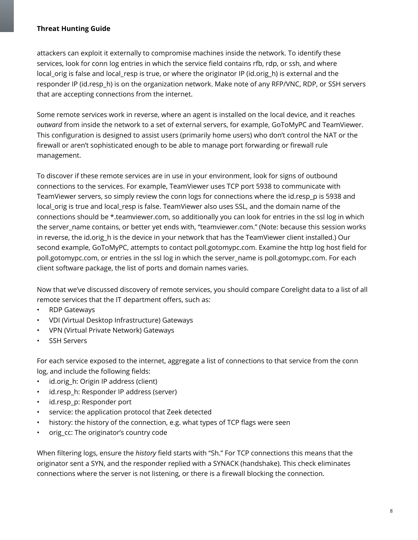attackers can exploit it externally to compromise machines inside the network. To identify these services, look for conn log entries in which the service field contains rfb, rdp, or ssh, and where local orig is false and local resp is true, or where the originator IP (id.orig h) is external and the responder IP (id.resp h) is on the organization network. Make note of any RFP/VNC, RDP, or SSH servers that are accepting connections from the internet.

Some remote services work in reverse, where an agent is installed on the local device, and it reaches *outward* from inside the network to a set of external servers, for example, GoToMyPC and TeamViewer. This configuration is designed to assist users (primarily home users) who don't control the NAT or the firewall or aren't sophisticated enough to be able to manage port forwarding or firewall rule management.

To discover if these remote services are in use in your environment, look for signs of outbound connections to the services. For example, TeamViewer uses TCP port 5938 to communicate with TeamViewer servers, so simply review the conn logs for connections where the id.resp\_p is 5938 and local orig is true and local resp is false. TeamViewer also uses SSL, and the domain name of the connections should be \*.teamviewer.com, so additionally you can look for entries in the ssl log in which the server\_name contains, or better yet ends with, "teamviewer.com." (Note: because this session works in reverse, the id.origh is the device in your network that has the TeamViewer client installed.) Our second example, GoToMyPC, attempts to contact poll.gotomypc.com. Examine the http log host field for poll.gotomypc.com, or entries in the ssl log in which the server\_name is poll.gotomypc.com. For each client software package, the list of ports and domain names varies.

Now that we've discussed discovery of remote services, you should compare Corelight data to a list of all remote services that the IT department offers, such as:

- RDP Gateways
- VDI (Virtual Desktop Infrastructure) Gateways
- VPN (Virtual Private Network) Gateways
- SSH Servers

For each service exposed to the internet, aggregate a list of connections to that service from the conn log, and include the following fields:

- id.orig\_h: Origin IP address (client)
- id.resp h: Responder IP address (server)
- id.resp p: Responder port
- service: the application protocol that Zeek detected
- history: the history of the connection, e.g. what types of TCP flags were seen
- orig\_cc: The originator's country code

When filtering logs, ensure the *history* field starts with "Sh." For TCP connections this means that the originator sent a SYN, and the responder replied with a SYNACK (handshake). This check eliminates connections where the server is not listening, or there is a firewall blocking the connection.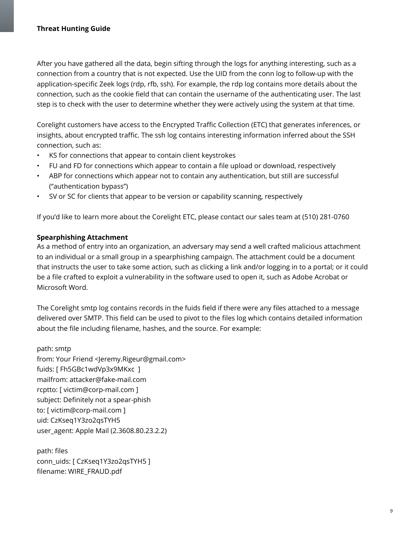After you have gathered all the data, begin sifting through the logs for anything interesting, such as a connection from a country that is not expected. Use the UID from the conn log to follow-up with the application-specific Zeek logs (rdp, rfb, ssh). For example, the rdp log contains more details about the connection, such as the cookie field that can contain the username of the authenticating user. The last step is to check with the user to determine whether they were actively using the system at that time.

Corelight customers have access to the Encrypted Traffic Collection (ETC) that generates inferences, or insights, about encrypted traffic. The ssh log contains interesting information inferred about the SSH connection, such as:

- KS for connections that appear to contain client keystrokes
- FU and FD for connections which appear to contain a file upload or download, respectively
- ABP for connections which appear not to contain any authentication, but still are successful ("authentication bypass")
- SV or SC for clients that appear to be version or capability scanning, respectively

If you'd like to learn more about the Corelight ETC, please contact our sales team at (510) 281-0760

#### <span id="page-8-0"></span>**Spearphishing Attachment**

As a method of entry into an organization, an adversary may send a well crafted malicious attachment to an individual or a small group in a spearphishing campaign. The attachment could be a document that instructs the user to take some action, such as clicking a link and/or logging in to a portal; or it could be a file crafted to exploit a vulnerability in the software used to open it, such as Adobe Acrobat or Microsoft Word.

The Corelight smtp log contains records in the fuids field if there were any files attached to a message delivered over SMTP. This field can be used to pivot to the files log which contains detailed information about the file including filename, hashes, and the source. For example:

path: smtp from: Your Friend <Jeremy.Rigeur@gmail.com> fuids: [ Fh5GBc1wdVp3x9MKxc ] mailfrom: attacker@fake-mail.com rcptto: [ victim@corp-mail.com ] subject: Definitely not a spear-phish to: [ victim@corp-mail.com ] uid: CzKseq1Y3zo2qsTYH5 user\_agent: Apple Mail (2.3608.80.23.2.2)

path: files conn\_uids: [ CzKseq1Y3zo2qsTYH5 ] filename: WIRE\_FRAUD.pdf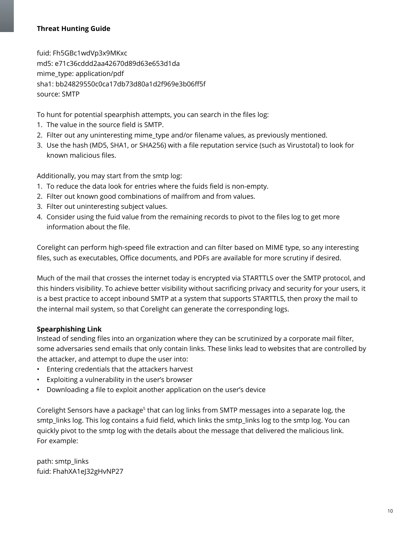fuid: Fh5GBc1wdVp3x9MKxc md5: e71c36cddd2aa42670d89d63e653d1da mime\_type: application/pdf sha1: bb24829550c0ca17db73d80a1d2f969e3b06ff5f source: SMTP

To hunt for potential spearphish attempts, you can search in the files log:

- 1. The value in the source field is SMTP.
- 2. Filter out any uninteresting mime\_type and/or filename values, as previously mentioned.
- 3. Use the hash (MD5, SHA1, or SHA256) with a file reputation service (such as Virustotal) to look for known malicious files.

Additionally, you may start from the smtp log:

- 1. To reduce the data look for entries where the fuids field is non-empty.
- 2. Filter out known good combinations of mailfrom and from values.
- 3. Filter out uninteresting subject values.
- 4. Consider using the fuid value from the remaining records to pivot to the files log to get more information about the file.

Corelight can perform high-speed file extraction and can filter based on MIME type, so any interesting files, such as executables, Office documents, and PDFs are available for more scrutiny if desired.

Much of the mail that crosses the internet today is encrypted via STARTTLS over the SMTP protocol, and this hinders visibility. To achieve better visibility without sacrificing privacy and security for your users, it is a best practice to accept inbound SMTP at a system that supports STARTTLS, then proxy the mail to the internal mail system, so that Corelight can generate the corresponding logs.

# <span id="page-9-0"></span>**Spearphishing Link**

Instead of sending files into an organization where they can be scrutinized by a corporate mail filter, some adversaries send emails that only contain links. These links lead to websites that are controlled by the attacker, and attempt to dupe the user into:

- Entering credentials that the attackers harvest
- Exploiting a vulnerability in the user's browser
- Downloading a file to exploit another application on the user's device

Corelight Sensors have a package<sup>s</sup> that can log links from SMTP messages into a separate log, the smtp links log. This log contains a fuid field, which links the smtp links log to the smtp log. You can quickly pivot to the smtp log with the details about the message that delivered the malicious link. For example:

path: smtp\_links fuid: FhahXA1eJ32gHvNP27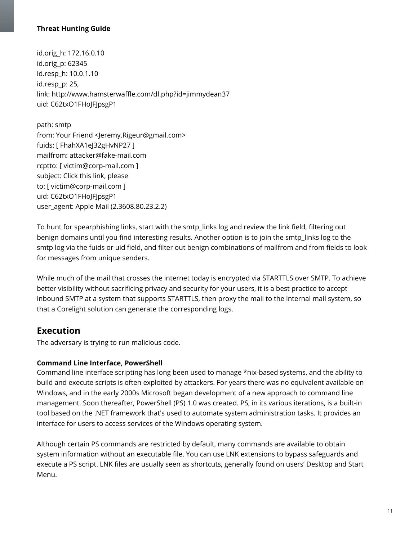id.orig\_h: 172.16.0.10 id.orig\_p: 62345 id.resp\_h: 10.0.1.10 id.resp\_p: 25, link: http://www.hamsterwaffle.com/dl.php?id=jimmydean37 uid: C62txO1FHoJFJpsgP1

path: smtp from: Your Friend <Jeremy.Rigeur@gmail.com> fuids: [ FhahXA1eJ32gHvNP27 ] mailfrom: attacker@fake-mail.com rcptto: [ victim@corp-mail.com ] subject: Click this link, please to: [ victim@corp-mail.com ] uid: C62txO1FHoJFJpsgP1 user\_agent: Apple Mail (2.3608.80.23.2.2)

To hunt for spearphishing links, start with the smtp\_links log and review the link field, filtering out benign domains until you find interesting results. Another option is to join the smtp\_links log to the smtp log via the fuids or uid field, and filter out benign combinations of mailfrom and from fields to look for messages from unique senders.

While much of the mail that crosses the internet today is encrypted via STARTTLS over SMTP. To achieve better visibility without sacrificing privacy and security for your users, it is a best practice to accept inbound SMTP at a system that supports STARTTLS, then proxy the mail to the internal mail system, so that a Corelight solution can generate the corresponding logs.

# **Execution**

The adversary is trying to run malicious code.

# <span id="page-10-0"></span>**Command Line Interface, PowerShell**

Command line interface scripting has long been used to manage \*nix-based systems, and the ability to build and execute scripts is often exploited by attackers. For years there was no equivalent available on Windows, and in the early 2000s Microsoft began development of a new approach to command line management. Soon thereafter, PowerShell (PS) 1.0 was created. PS, in its various iterations, is a built-in tool based on the .NET framework that's used to automate system administration tasks. It provides an interface for users to access services of the Windows operating system.

Although certain PS commands are restricted by default, many commands are available to obtain system information without an executable file. You can use LNK extensions to bypass safeguards and execute a PS script. LNK files are usually seen as shortcuts, generally found on users' Desktop and Start Menu.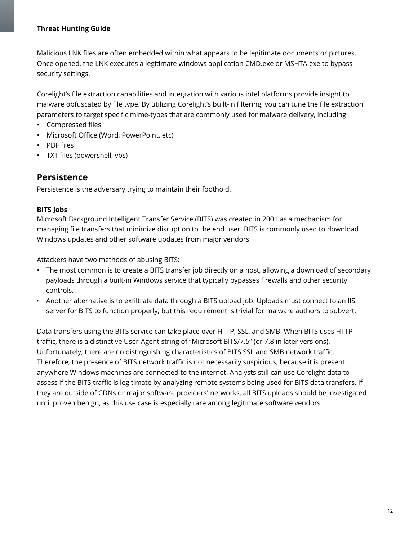Malicious LNK files are often embedded within what appears to be legitimate documents or pictures. Once opened, the LNK executes a legitimate windows application CMD.exe or MSHTA.exe to bypass security settings.

Corelight's file extraction capabilities and integration with various intel platforms provide insight to malware obfuscated by file type. By utilizing Corelight's built-in filtering, you can tune the file extraction parameters to target specific mime-types that are commonly used for malware delivery, including:

- Compressed files
- Microsoft Office (Word, PowerPoint, etc)
- PDF files
- TXT files (powershell, vbs)

# **Persistence**

Persistence is the adversary trying to maintain their foothold.

## <span id="page-11-0"></span>**BITS Jobs**

Microsoft Background Intelligent Transfer Service (BITS) was created in 2001 as a mechanism for managing file transfers that minimize disruption to the end user. BITS is commonly used to download Windows updates and other software updates from major vendors.

Attackers have two methods of abusing BITS:

- The most common is to create a BITS transfer job directly on a host, allowing a download of secondary payloads through a built-in Windows service that typically bypasses firewalls and other security controls.
- Another alternative is to exfiltrate data through a BITS upload job. Uploads must connect to an IIS server for BITS to function properly, but this requirement is trivial for malware authors to subvert.

Data transfers using the BITS service can take place over HTTP, SSL, and SMB. When BITS uses HTTP traffic, there is a distinctive User-Agent string of "Microsoft BITS/7.5" (or 7.8 in later versions). Unfortunately, there are no distinguishing characteristics of BITS SSL and SMB network traffic. Therefore, the presence of BITS network traffic is not necessarily suspicious, because it is present anywhere Windows machines are connected to the internet. Analysts still can use Corelight data to assess if the BITS traffic is legitimate by analyzing remote systems being used for BITS data transfers. If they are outside of CDNs or major software providers' networks, all BITS uploads should be investigated until proven benign, as this use case is especially rare among legitimate software vendors.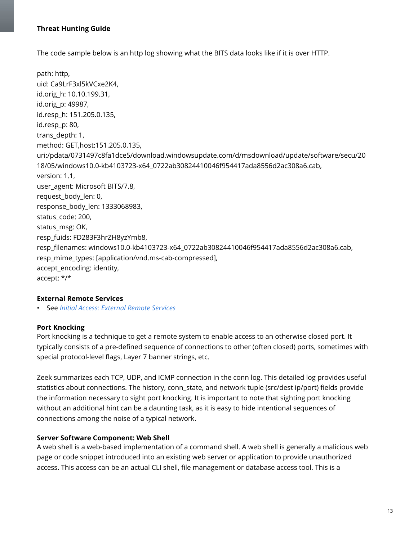The code sample below is an http log showing what the BITS data looks like if it is over HTTP.

path: http, uid: Ca9LrF3xl5kVCxe2K4, id.orig\_h: 10.10.199.31, id.orig\_p: 49987, id.resp\_h: 151.205.0.135, id.resp\_p: 80, trans\_depth: 1, method: GET,host:151.205.0.135, uri:/pdata/0731497c8fa1dce5/download.windowsupdate.com/d/msdownload/update/software/secu/20 18/05/windows10.0-kb4103723-x64\_0722ab30824410046f954417ada8556d2ac308a6.cab, version: 1.1, user\_agent: Microsoft BITS/7.8, request body len: 0, response\_body\_len: 1333068983, status\_code: 200, status\_msg: OK, resp\_fuids: FD283F3hrZH8yzYmb8, resp\_filenames: windows10.0-kb4103723-x64\_0722ab30824410046f954417ada8556d2ac308a6.cab, resp\_mime\_types: [application/vnd.ms-cab-compressed], accept\_encoding: identity, accept: \*/\*

#### <span id="page-12-0"></span>**External Remote Services**

• See *Initial Access: [External](#page-6-1) Remote Services*

#### <span id="page-12-1"></span>**Port Knocking**

Port knocking is a technique to get a remote system to enable access to an otherwise closed port. It typically consists of a pre-defined sequence of connections to other (often closed) ports, sometimes with special protocol-level flags, Layer 7 banner strings, etc.

Zeek summarizes each TCP, UDP, and ICMP connection in the conn log. This detailed log provides useful statistics about connections. The history, conn\_state, and network tuple (src/dest ip/port) fields provide the information necessary to sight port knocking. It is important to note that sighting port knocking without an additional hint can be a daunting task, as it is easy to hide intentional sequences of connections among the noise of a typical network.

#### <span id="page-12-2"></span>**Server Software Component: Web Shell**

A web shell is a web-based implementation of a command shell. A web shell is generally a malicious web page or code snippet introduced into an existing web server or application to provide unauthorized access. This access can be an actual CLI shell, file management or database access tool. This is a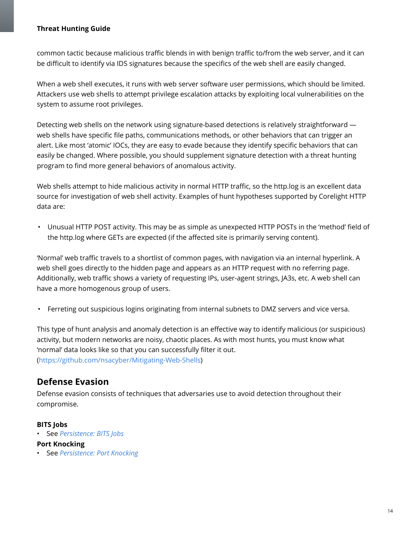common tactic because malicious traffic blends in with benign traffic to/from the web server, and it can be difficult to identify via IDS signatures because the specifics of the web shell are easily changed.

When a web shell executes, it runs with web server software user permissions, which should be limited. Attackers use web shells to attempt privilege escalation attacks by exploiting local vulnerabilities on the system to assume root privileges.

Detecting web shells on the network using signature-based detections is relatively straightforward web shells have specific file paths, communications methods, or other behaviors that can trigger an alert. Like most 'atomic' IOCs, they are easy to evade because they identify specific behaviors that can easily be changed. Where possible, you should supplement signature detection with a threat hunting program to find more general behaviors of anomalous activity.

Web shells attempt to hide malicious activity in normal HTTP traffic, so the http.log is an excellent data source for investigation of web shell activity. Examples of hunt hypotheses supported by Corelight HTTP data are:

• Unusual HTTP POST activity. This may be as simple as unexpected HTTP POSTs in the 'method' field of the http.log where GETs are expected (if the affected site is primarily serving content).

'Normal' web traffic travels to a shortlist of common pages, with navigation via an internal hyperlink. A web shell goes directly to the hidden page and appears as an HTTP request with no referring page. Additionally, web traffic shows a variety of requesting IPs, user-agent strings, JA3s, etc. A web shell can have a more homogenous group of users.

• Ferreting out suspicious logins originating from internal subnets to DMZ servers and vice versa.

This type of hunt analysis and anomaly detection is an effective way to identify malicious (or suspicious) activity, but modern networks are noisy, chaotic places. As with most hunts, you must know what 'normal' data looks like so that you can successfully filter it out. ([https://github.com/nsacyber/Mitigating-Web-Shells\)](https://github.com/nsacyber/Mitigating-Web-Shells)

# **Defense Evasion**

Defense evasion consists of techniques that adversaries use to avoid detection throughout their compromise.

#### **BITS Jobs**

• See *[Persistence:](#page-11-0) BITS Jobs*

#### <span id="page-13-0"></span>**Port Knocking**

• See *[Persistence:](#page-12-1) Port Knocking*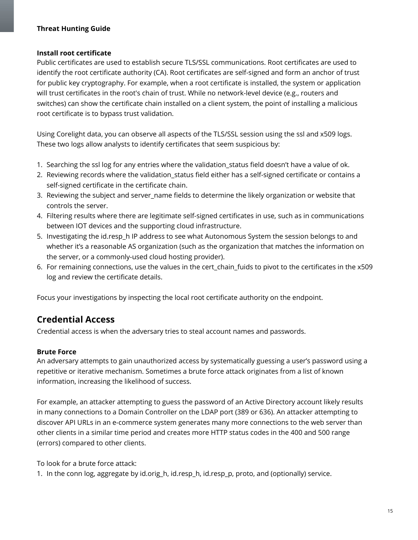#### <span id="page-14-0"></span>**Install root certificate**

Public certificates are used to establish secure TLS/SSL communications. Root certificates are used to identify the root certificate authority (CA). Root certificates are self-signed and form an anchor of trust for public key cryptography. For example, when a root certificate is installed, the system or application will trust certificates in the root's chain of trust. While no network-level device (e.g., routers and switches) can show the certificate chain installed on a client system, the point of installing a malicious root certificate is to bypass trust validation.

Using Corelight data, you can observe all aspects of the TLS/SSL session using the ssl and x509 logs. These two logs allow analysts to identify certificates that seem suspicious by:

- 1. Searching the ssl log for any entries where the validation\_status field doesn't have a value of ok.
- 2. Reviewing records where the validation\_status field either has a self-signed certificate or contains a self-signed certificate in the certificate chain.
- 3. Reviewing the subject and server name fields to determine the likely organization or website that controls the server.
- 4. Filtering results where there are legitimate self-signed certificates in use, such as in communications between IOT devices and the supporting cloud infrastructure.
- 5. Investigating the id.resp\_h IP address to see what Autonomous System the session belongs to and whether it's a reasonable AS organization (such as the organization that matches the information on the server, or a commonly-used cloud hosting provider).
- 6. For remaining connections, use the values in the cert chain fuids to pivot to the certificates in the x509 log and review the certificate details.

Focus your investigations by inspecting the local root certificate authority on the endpoint.

# **Credential Access**

Credential access is when the adversary tries to steal account names and passwords.

# <span id="page-14-1"></span>**Brute Force**

An adversary attempts to gain unauthorized access by systematically guessing a user's password using a repetitive or iterative mechanism. Sometimes a brute force attack originates from a list of known information, increasing the likelihood of success.

For example, an attacker attempting to guess the password of an Active Directory account likely results in many connections to a Domain Controller on the LDAP port (389 or 636). An attacker attempting to discover API URLs in an e-commerce system generates many more connections to the web server than other clients in a similar time period and creates more HTTP status codes in the 400 and 500 range (errors) compared to other clients.

To look for a brute force attack:

1. In the conn log, aggregate by id.orig\_h, id.resp\_h, id.resp\_p, proto, and (optionally) service.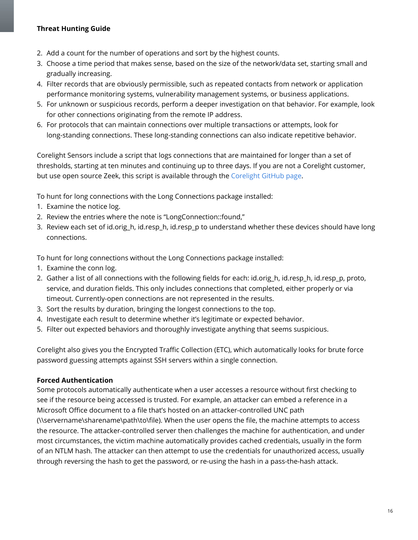- 2. Add a count for the number of operations and sort by the highest counts.
- 3. Choose a time period that makes sense, based on the size of the network/data set, starting small and gradually increasing.
- 4. Filter records that are obviously permissible, such as repeated contacts from network or application performance monitoring systems, vulnerability management systems, or business applications.
- 5. For unknown or suspicious records, perform a deeper investigation on that behavior. For example, look for other connections originating from the remote IP address.
- 6. For protocols that can maintain connections over multiple transactions or attempts, look for long-standing connections. These long-standing connections can also indicate repetitive behavior.

Corelight Sensors include a script that logs connections that are maintained for longer than a set of thresholds, starting at ten minutes and continuing up to three days. If you are not a Corelight customer, but use open source Zeek, this script is available through the [Corelight](https://github.com/corelight) GitHub page.

To hunt for long connections with the Long Connections package installed:

- 1. Examine the notice log.
- 2. Review the entries where the note is "LongConnection::found,"
- 3. Review each set of id.orig\_h, id.resp\_h, id.resp\_p to understand whether these devices should have long connections.

To hunt for long connections without the Long Connections package installed:

- 1. Examine the conn log.
- 2. Gather a list of all connections with the following fields for each: id.orig h, id.resp h, id.resp p, proto, service, and duration fields. This only includes connections that completed, either properly or via timeout. Currently-open connections are not represented in the results.
- 3. Sort the results by duration, bringing the longest connections to the top.
- 4. Investigate each result to determine whether it's legitimate or expected behavior.
- 5. Filter out expected behaviors and thoroughly investigate anything that seems suspicious.

Corelight also gives you the Encrypted Traffic Collection (ETC), which automatically looks for brute force password guessing attempts against SSH servers within a single connection.

#### <span id="page-15-0"></span>**Forced Authentication**

Some protocols automatically authenticate when a user accesses a resource without first checking to see if the resource being accessed is trusted. For example, an attacker can embed a reference in a Microsoft Office document to a file that's hosted on an attacker-controlled UNC path (\\servername\sharename\path\to\file). When the user opens the file, the machine attempts to access the resource. The attacker-controlled server then challenges the machine for authentication, and under most circumstances, the victim machine automatically provides cached credentials, usually in the form of an NTLM hash. The attacker can then attempt to use the credentials for unauthorized access, usually through reversing the hash to get the password, or re-using the hash in a pass-the-hash attack.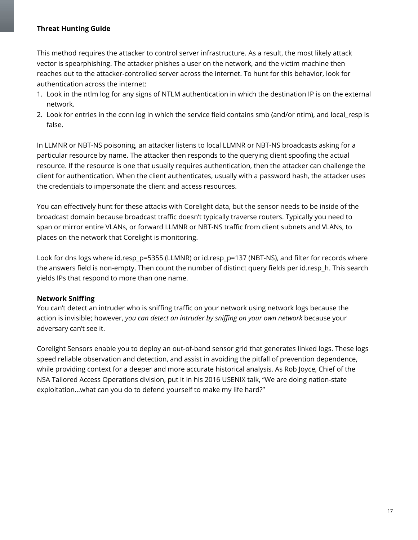This method requires the attacker to control server infrastructure. As a result, the most likely attack vector is spearphishing. The attacker phishes a user on the network, and the victim machine then reaches out to the attacker-controlled server across the internet. To hunt for this behavior, look for authentication across the internet:

- 1. Look in the ntlm log for any signs of NTLM authentication in which the destination IP is on the external network.
- 2. Look for entries in the conn log in which the service field contains smb (and/or ntlm), and local resp is false.

In LLMNR or NBT-NS poisoning, an attacker listens to local LLMNR or NBT-NS broadcasts asking for a particular resource by name. The attacker then responds to the querying client spoofing the actual resource. If the resource is one that usually requires authentication, then the attacker can challenge the client for authentication. When the client authenticates, usually with a password hash, the attacker uses the credentials to impersonate the client and access resources.

You can effectively hunt for these attacks with Corelight data, but the sensor needs to be inside of the broadcast domain because broadcast traffic doesn't typically traverse routers. Typically you need to span or mirror entire VLANs, or forward LLMNR or NBT-NS traffic from client subnets and VLANs, to places on the network that Corelight is monitoring.

Look for dns logs where id.resp\_p=5355 (LLMNR) or id.resp\_p=137 (NBT-NS), and filter for records where the answers field is non-empty. Then count the number of distinct query fields per id.resp\_h. This search yields IPs that respond to more than one name.

#### <span id="page-16-0"></span>**Network Sniffing**

You can't detect an intruder who is sniffing traffic on your network using network logs because the action is invisible; however, *you can detect an intruder by sniffing on your own network* because your adversary can't see it.

Corelight Sensors enable you to deploy an out-of-band sensor grid that generates linked logs. These logs speed reliable observation and detection, and assist in avoiding the pitfall of prevention dependence, while providing context for a deeper and more accurate historical analysis. As Rob Joyce, Chief of the NSA Tailored Access Operations division, put it in his 2016 USENIX talk, "We are doing nation-state exploitation...what can you do to defend yourself to make my life hard?"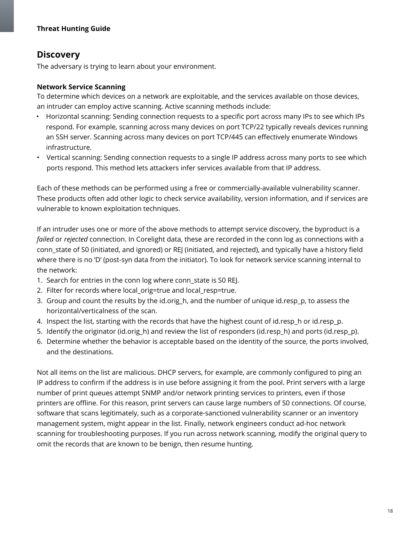# **Discovery**

The adversary is trying to learn about your environment.

## <span id="page-17-0"></span>**Network Service Scanning**

To determine which devices on a network are exploitable, and the services available on those devices, an intruder can employ active scanning. Active scanning methods include:

- Horizontal scanning: Sending connection requests to a specific port across many IPs to see which IPs respond. For example, scanning across many devices on port TCP/22 typically reveals devices running an SSH server. Scanning across many devices on port TCP/445 can effectively enumerate Windows infrastructure.
- Vertical scanning: Sending connection requests to a single IP address across many ports to see which ports respond. This method lets attackers infer services available from that IP address.

Each of these methods can be performed using a free or commercially-available vulnerability scanner. These products often add other logic to check service availability, version information, and if services are vulnerable to known exploitation techniques.

If an intruder uses one or more of the above methods to attempt service discovery, the byproduct is a *failed* or *rejected* connection. In Corelight data, these are recorded in the conn log as connections with a conn\_state of S0 (initiated, and ignored) or REJ (initiated, and rejected), and typically have a history field where there is no 'D' (post-syn data from the initiator). To look for network service scanning internal to the network:

- 1. Search for entries in the conn log where conn\_state is S0 REJ.
- 2. Filter for records where local orig=true and local resp=true.
- 3. Group and count the results by the id.orig h, and the number of unique id.resp p, to assess the horizontal/verticalness of the scan.
- 4. Inspect the list, starting with the records that have the highest count of id.resp\_h or id.resp\_p.
- 5. Identify the originator (id.orig h) and review the list of responders (id.resp h) and ports (id.resp p).
- 6. Determine whether the behavior is acceptable based on the identity of the source, the ports involved, and the destinations.

Not all items on the list are malicious. DHCP servers, for example, are commonly configured to ping an IP address to confirm if the address is in use before assigning it from the pool. Print servers with a large number of print queues attempt SNMP and/or network printing services to printers, even if those printers are offline. For this reason, print servers can cause large numbers of S0 connections. Of course, software that scans legitimately, such as a corporate-sanctioned vulnerability scanner or an inventory management system, might appear in the list. Finally, network engineers conduct ad-hoc network scanning for troubleshooting purposes. If you run across network scanning, modify the original query to omit the records that are known to be benign, then resume hunting.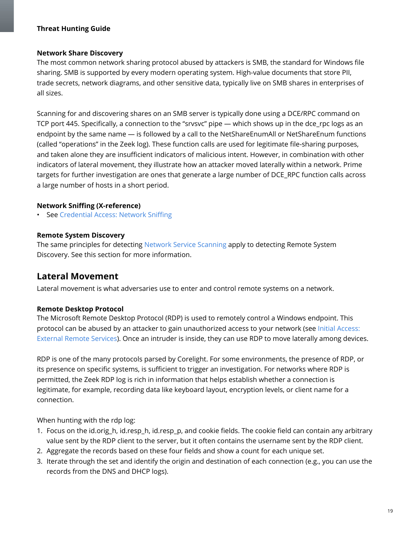#### <span id="page-18-0"></span>**Network Share Discovery**

The most common network sharing protocol abused by attackers is SMB, the standard for Windows file sharing. SMB is supported by every modern operating system. High-value documents that store PII, trade secrets, network diagrams, and other sensitive data, typically live on SMB shares in enterprises of all sizes.

Scanning for and discovering shares on an SMB server is typically done using a DCE/RPC command on TCP port 445. Specifically, a connection to the "srvsvc" pipe — which shows up in the dce\_rpc logs as an endpoint by the same name — is followed by a call to the NetShareEnumAll or NetShareEnum functions (called "operations" in the Zeek log). These function calls are used for legitimate file-sharing purposes, and taken alone they are insufficient indicators of malicious intent. However, in combination with other indicators of lateral movement, they illustrate how an attacker moved laterally within a network. Prime targets for further investigation are ones that generate a large number of DCE\_RPC function calls across a large number of hosts in a short period.

#### <span id="page-18-1"></span>**Network Sniffing (X-reference)**

**See [Credential](#page-16-0) Access: Network Sniffing** 

#### <span id="page-18-2"></span>**Remote System Discovery**

The same principles for detecting Network Service [Scanning](#page-17-0) apply to detecting Remote System Discovery. See this section for more information.

# **Lateral Movement**

Lateral movement is what adversaries use to enter and control remote systems on a network.

#### <span id="page-18-3"></span>**Remote Desktop Protocol**

The Microsoft Remote Desktop Protocol (RDP) is used to remotely control a Windows endpoint. This protocol can be abused by an attacker to gain unauthorized access to your network (see Initial [Access:](#page-12-0) External Remote [Services\)](#page-12-0). Once an intruder is inside, they can use RDP to move laterally among devices.

RDP is one of the many protocols parsed by Corelight. For some environments, the presence of RDP, or its presence on specific systems, is sufficient to trigger an investigation. For networks where RDP is permitted, the Zeek RDP log is rich in information that helps establish whether a connection is legitimate, for example, recording data like keyboard layout, encryption levels, or client name for a connection.

When hunting with the rdp log:

- 1. Focus on the id.orig\_h, id.resp\_h, id.resp\_p, and cookie fields. The cookie field can contain any arbitrary value sent by the RDP client to the server, but it often contains the username sent by the RDP client.
- 2. Aggregate the records based on these four fields and show a count for each unique set.
- 3. Iterate through the set and identify the origin and destination of each connection (e.g., you can use the records from the DNS and DHCP logs).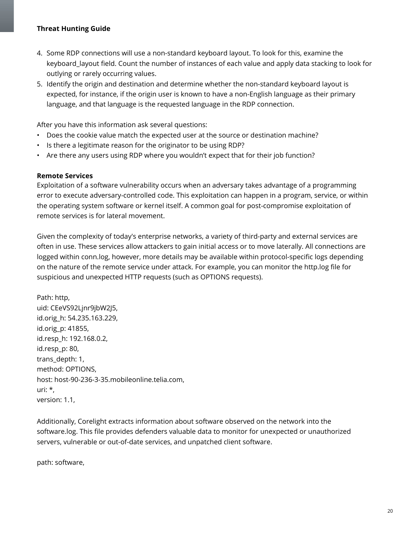- 4. Some RDP connections will use a non-standard keyboard layout. To look for this, examine the keyboard\_layout field. Count the number of instances of each value and apply data stacking to look for outlying or rarely occurring values.
- 5. Identify the origin and destination and determine whether the non-standard keyboard layout is expected, for instance, if the origin user is known to have a non-English language as their primary language, and that language is the requested language in the RDP connection.

After you have this information ask several questions:

- Does the cookie value match the expected user at the source or destination machine?
- Is there a legitimate reason for the originator to be using RDP?
- Are there any users using RDP where you wouldn't expect that for their job function?

#### <span id="page-19-0"></span>**Remote Services**

Exploitation of a software vulnerability occurs when an adversary takes advantage of a programming error to execute adversary-controlled code. This exploitation can happen in a program, service, or within the operating system software or kernel itself. A common goal for post-compromise exploitation of remote services is for lateral movement.

Given the complexity of today's enterprise networks, a variety of third-party and external services are often in use. These services allow attackers to gain initial access or to move laterally. All connections are logged within conn.log, however, more details may be available within protocol-specific logs depending on the nature of the remote service under attack. For example, you can monitor the http.log file for suspicious and unexpected HTTP requests (such as OPTIONS requests).

Path: http, uid: CEeVS92Ljnr9jbW2J5, id.orig\_h: 54.235.163.229, id.orig\_p: 41855, id.resp\_h: 192.168.0.2, id.resp\_p: 80, trans\_depth: 1, method: OPTIONS, host: host-90-236-3-35.mobileonline.telia.com, uri: \*, version: 1.1,

Additionally, Corelight extracts information about software observed on the network into the software.log. This file provides defenders valuable data to monitor for unexpected or unauthorized servers, vulnerable or out-of-date services, and unpatched client software.

path: software,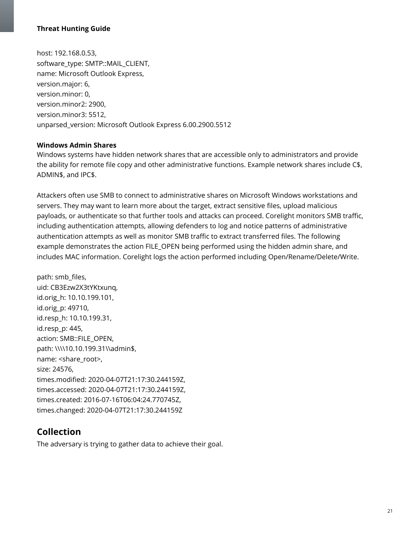host: 192.168.0.53, software\_type: SMTP::MAIL\_CLIENT, name: Microsoft Outlook Express, version.major: 6, version.minor: 0, version.minor2: 2900, version.minor3: 5512, unparsed\_version: Microsoft Outlook Express 6.00.2900.5512

#### <span id="page-20-0"></span>**Windows Admin Shares**

Windows systems have hidden network shares that are accessible only to administrators and provide the ability for remote file copy and other administrative functions. Example network shares include C\$, ADMIN\$, and IPC\$.

Attackers often use SMB to connect to administrative shares on Microsoft Windows workstations and servers. They may want to learn more about the target, extract sensitive files, upload malicious payloads, or authenticate so that further tools and attacks can proceed. Corelight monitors SMB traffic, including authentication attempts, allowing defenders to log and notice patterns of administrative authentication attempts as well as monitor SMB traffic to extract transferred files. The following example demonstrates the action FILE\_OPEN being performed using the hidden admin share, and includes MAC information. Corelight logs the action performed including Open/Rename/Delete/Write.

path: smb\_files, uid: CB3Ezw2X3tYKtxunq, id.orig\_h: 10.10.199.101, id.orig\_p: 49710, id.resp\_h: 10.10.199.31, id.resp\_p: 445, action: SMB::FILE\_OPEN, path: \\\\10.10.199.31\\admin\$, name: <share\_root>, size: 24576, times.modified: 2020-04-07T21:17:30.244159Z, times.accessed: 2020-04-07T21:17:30.244159Z, times.created: 2016-07-16T06:04:24.770745Z, times.changed: 2020-04-07T21:17:30.244159Z

# **Collection**

The adversary is trying to gather data to achieve their goal.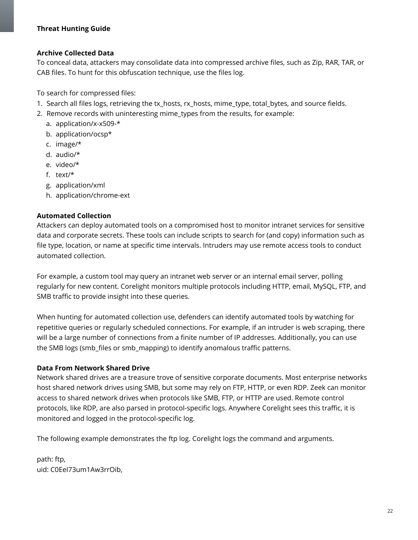#### <span id="page-21-0"></span>**Archive Collected Data**

To conceal data, attackers may consolidate data into compressed archive files, such as Zip, RAR, TAR, or CAB files. To hunt for this obfuscation technique, use the files log.

To search for compressed files:

- 1. Search all files logs, retrieving the tx\_hosts, rx\_hosts, mime\_type, total\_bytes, and source fields.
- 2. Remove records with uninteresting mime types from the results, for example:
	- a. application/x-x509-\*
	- b. application/ocsp\*
	- c. image/\*
	- d. audio/\*
	- e. video/\*
	- f. text/\*
	- g. application/xml
	- h. application/chrome-ext

#### <span id="page-21-1"></span>**Automated Collection**

Attackers can deploy automated tools on a compromised host to monitor intranet services for sensitive data and corporate secrets. These tools can include scripts to search for (and copy) information such as file type, location, or name at specific time intervals. Intruders may use remote access tools to conduct automated collection.

For example, a custom tool may query an intranet web server or an internal email server, polling regularly for new content. Corelight monitors multiple protocols including HTTP, email, MySQL, FTP, and SMB traffic to provide insight into these queries.

When hunting for automated collection use, defenders can identify automated tools by watching for repetitive queries or regularly scheduled connections. For example, if an intruder is web scraping, there will be a large number of connections from a finite number of IP addresses. Additionally, you can use the SMB logs (smb\_files or smb\_mapping) to identify anomalous traffic patterns.

#### <span id="page-21-2"></span>**Data From Network Shared Drive**

Network shared drives are a treasure trove of sensitive corporate documents. Most enterprise networks host shared network drives using SMB, but some may rely on FTP, HTTP, or even RDP. Zeek can monitor access to shared network drives when protocols like SMB, FTP, or HTTP are used. Remote control protocols, like RDP, are also parsed in protocol-specific logs. Anywhere Corelight sees this traffic, it is monitored and logged in the protocol-specific log.

The following example demonstrates the ftp log. Corelight logs the command and arguments.

path: ftp, uid: C0EeI73um1Aw3rrOib,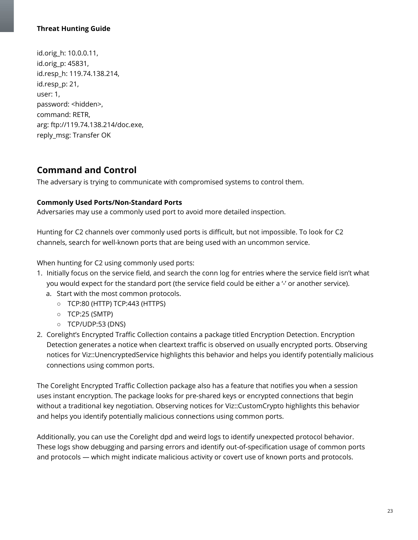id.orig\_h: 10.0.0.11, id.orig\_p: 45831, id.resp\_h: 119.74.138.214, id.resp\_p: 21, user: 1, password: <hidden>, command: RETR, arg: ftp://119.74.138.214/doc.exe, reply\_msg: Transfer OK

# **Command and Control**

The adversary is trying to communicate with compromised systems to control them.

#### <span id="page-22-0"></span>**Commonly Used Ports/Non-Standard Ports**

Adversaries may use a commonly used port to avoid more detailed inspection.

Hunting for C2 channels over commonly used ports is difficult, but not impossible. To look for C2 channels, search for well-known ports that are being used with an uncommon service.

When hunting for C2 using commonly used ports:

- 1. Initially focus on the service field, and search the conn log for entries where the service field isn't what you would expect for the standard port (the service field could be either a '-' or another service).
	- a. Start with the most common protocols.
		- TCP:80 (HTTP) TCP:443 (HTTPS)
		- TCP:25 (SMTP)
		- TCP/UDP:53 (DNS)
- 2. Corelight's Encrypted Traffic Collection contains a package titled Encryption Detection. Encryption Detection generates a notice when cleartext traffic is observed on usually encrypted ports. Observing notices for Viz::UnencryptedService highlights this behavior and helps you identify potentially malicious connections using common ports.

The Corelight Encrypted Traffic Collection package also has a feature that notifies you when a session uses instant encryption. The package looks for pre-shared keys or encrypted connections that begin without a traditional key negotiation. Observing notices for Viz::CustomCrypto highlights this behavior and helps you identify potentially malicious connections using common ports.

Additionally, you can use the Corelight dpd and weird logs to identify unexpected protocol behavior. These logs show debugging and parsing errors and identify out-of-specification usage of common ports and protocols — which might indicate malicious activity or covert use of known ports and protocols.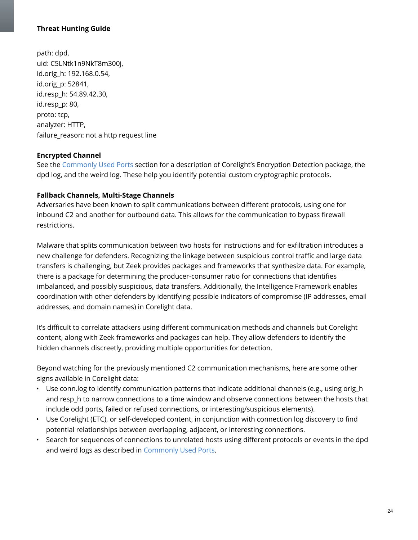path: dpd, uid: C5LNtk1n9NkT8m300j, id.orig\_h: 192.168.0.54, id.orig\_p: 52841, id.resp\_h: 54.89.42.30, id.resp\_p: 80, proto: tcp, analyzer: HTTP, failure\_reason: not a http request line

## <span id="page-23-0"></span>**Encrypted Channel**

See the [Commonly](#page-22-0) Used Ports section for a description of Corelight's Encryption Detection package, the dpd log, and the weird log. These help you identify potential custom cryptographic protocols.

## <span id="page-23-1"></span>**Fallback Channels, Multi-Stage Channels**

Adversaries have been known to split communications between different protocols, using one for inbound C2 and another for outbound data. This allows for the communication to bypass firewall restrictions.

Malware that splits communication between two hosts for instructions and for exfiltration introduces a new challenge for defenders. Recognizing the linkage between suspicious control traffic and large data transfers is challenging, but Zeek provides packages and frameworks that synthesize data. For example, there is a package for determining the producer-consumer ratio for connections that identifies imbalanced, and possibly suspicious, data transfers. Additionally, the Intelligence Framework enables coordination with other defenders by identifying possible indicators of compromise (IP addresses, email addresses, and domain names) in Corelight data.

It's difficult to correlate attackers using different communication methods and channels but Corelight content, along with Zeek frameworks and packages can help. They allow defenders to identify the hidden channels discreetly, providing multiple opportunities for detection.

Beyond watching for the previously mentioned C2 communication mechanisms, here are some other signs available in Corelight data:

- Use conn. log to identify communication patterns that indicate additional channels (e.g., using orig  $h$ and resp h to narrow connections to a time window and observe connections between the hosts that include odd ports, failed or refused connections, or interesting/suspicious elements).
- Use Corelight (ETC), or self-developed content, in conjunction with connection log discovery to find potential relationships between overlapping, adjacent, or interesting connections.
- Search for sequences of connections to unrelated hosts using different protocols or events in the dpd and weird logs as described in [Commonly](#page-22-0) Used Ports.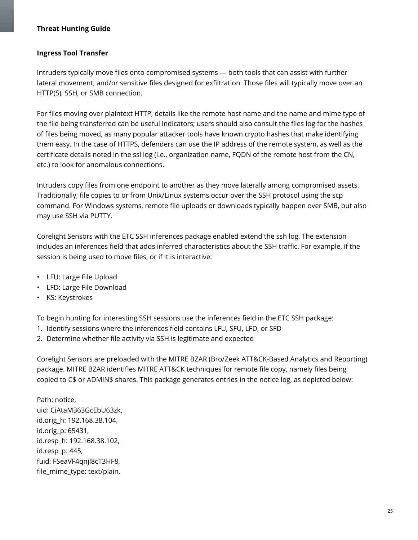#### <span id="page-24-0"></span>**Ingress Tool Transfer**

Intruders typically move files onto compromised systems — both tools that can assist with further lateral movement, and/or sensitive files designed for exfiltration. Those files will typically move over an HTTP(S), SSH, or SMB connection.

For files moving over plaintext HTTP, details like the remote host name and the name and mime type of the file being transferred can be useful indicators; users should also consult the files log for the hashes of files being moved, as many popular attacker tools have known crypto hashes that make identifying them easy. In the case of HTTPS, defenders can use the IP address of the remote system, as well as the certificate details noted in the ssl log (i.e., organization name, FQDN of the remote host from the CN, etc.) to look for anomalous connections.

Intruders copy files from one endpoint to another as they move laterally among compromised assets. Traditionally, file copies to or from Unix/Linux systems occur over the SSH protocol using the scp command. For Windows systems, remote file uploads or downloads typically happen over SMB, but also may use SSH via PUTTY.

Corelight Sensors with the ETC SSH inferences package enabled extend the ssh log. The extension includes an inferences field that adds inferred characteristics about the SSH traffic. For example, if the session is being used to move files, or if it is interactive:

- LFU: Large File Upload
- LFD: Large File Download
- KS: Keystrokes

To begin hunting for interesting SSH sessions use the inferences field in the ETC SSH package:

- 1. Identify sessions where the inferences field contains LFU, SFU, LFD, or SFD
- 2. Determine whether file activity via SSH is legitimate and expected

Corelight Sensors are preloaded with the MITRE BZAR (Bro/Zeek ATT&CK-Based Analytics and Reporting) package. MITRE BZAR identifies MITRE ATT&CK techniques for remote file copy, namely files being copied to C\$ or ADMIN\$ shares. This package generates entries in the notice log, as depicted below:

Path: notice, uid: CiAtaM363GcEbU63zk, id.orig\_h: 192.168.38.104, id.orig\_p: 65431, id.resp\_h: 192.168.38.102, id.resp\_p: 445, fuid: FSeaVF4qnjl8cT3HF8, file\_mime\_type: text/plain,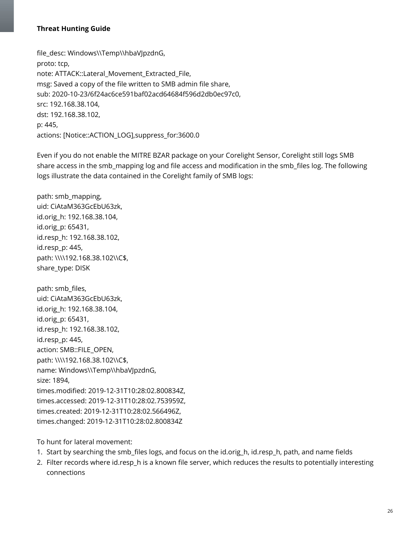file\_desc: Windows\\Temp\\hbaVJpzdnG, proto: tcp, note: ATTACK::Lateral\_Movement\_Extracted\_File, msg: Saved a copy of the file written to SMB admin file share, sub: 2020-10-23/6f24ac6ce591baf02acd64684f596d2db0ec97c0, src: 192.168.38.104, dst: 192.168.38.102, p: 445, actions: [Notice::ACTION\_LOG],suppress\_for:3600.0

Even if you do not enable the MITRE BZAR package on your Corelight Sensor, Corelight still logs SMB share access in the smb\_mapping log and file access and modification in the smb\_files log. The following logs illustrate the data contained in the Corelight family of SMB logs:

path: smb\_mapping, uid: CiAtaM363GcEbU63zk, id.orig\_h: 192.168.38.104, id.orig\_p: 65431, id.resp\_h: 192.168.38.102, id.resp\_p: 445, path: \\\\192.168.38.102\\C\$, share\_type: DISK

path: smb\_files, uid: CiAtaM363GcEbU63zk, id.orig\_h: 192.168.38.104, id.orig\_p: 65431, id.resp\_h: 192.168.38.102, id.resp\_p: 445, action: SMB::FILE\_OPEN, path: \\\\192.168.38.102\\C\$, name: Windows\\Temp\\hbaVJpzdnG, size: 1894, times.modified: 2019-12-31T10:28:02.800834Z, times.accessed: 2019-12-31T10:28:02.753959Z, times.created: 2019-12-31T10:28:02.566496Z, times.changed: 2019-12-31T10:28:02.800834Z

To hunt for lateral movement:

- 1. Start by searching the smb\_files logs, and focus on the id.orig\_h, id.resp\_h, path, and name fields
- 2. Filter records where id.resp\_h is a known file server, which reduces the results to potentially interesting connections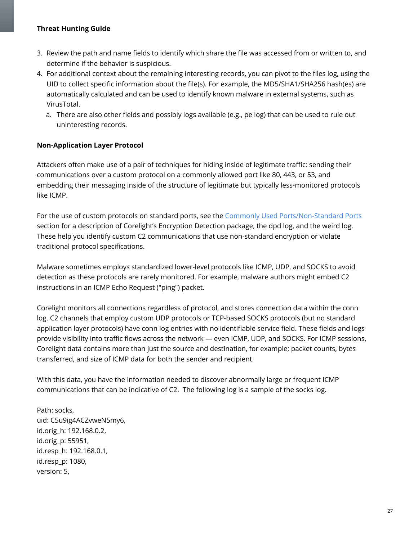- 3. Review the path and name fields to identify which share the file was accessed from or written to, and determine if the behavior is suspicious.
- 4. For additional context about the remaining interesting records, you can pivot to the files log, using the UID to collect specific information about the file(s). For example, the MD5/SHA1/SHA256 hash(es) are automatically calculated and can be used to identify known malware in external systems, such as VirusTotal.
	- a. There are also other fields and possibly logs available (e.g., pe log) that can be used to rule out uninteresting records.

# <span id="page-26-0"></span>**Non-Application Layer Protocol**

Attackers often make use of a pair of techniques for hiding inside of legitimate traffic: sending their communications over a custom protocol on a commonly allowed port like 80, 443, or 53, and embedding their messaging inside of the structure of legitimate but typically less-monitored protocols like ICMP.

For the use of custom protocols on standard ports, see the Commonly Used [Ports/Non-Standard](#page-22-0) Ports section for a description of Corelight's Encryption Detection package, the dpd log, and the weird log. These help you identify custom C2 communications that use non-standard encryption or violate traditional protocol specifications.

Malware sometimes employs standardized lower-level protocols like ICMP, UDP, and SOCKS to avoid detection as these protocols are rarely monitored. For example, malware authors might embed C2 instructions in an ICMP Echo Request ("ping") packet.

Corelight monitors all connections regardless of protocol, and stores connection data within the conn log. C2 channels that employ custom UDP protocols or TCP-based SOCKS protocols (but no standard application layer protocols) have conn log entries with no identifiable service field. These fields and logs provide visibility into traffic flows across the network — even ICMP, UDP, and SOCKS. For ICMP sessions, Corelight data contains more than just the source and destination, for example; packet counts, bytes transferred, and size of ICMP data for both the sender and recipient.

With this data, you have the information needed to discover abnormally large or frequent ICMP communications that can be indicative of C2. The following log is a sample of the socks log.

Path: socks, uid: C5u9ig4ACZvweN5my6, id.orig\_h: 192.168.0.2, id.orig\_p: 55951, id.resp\_h: 192.168.0.1, id.resp\_p: 1080, version: 5,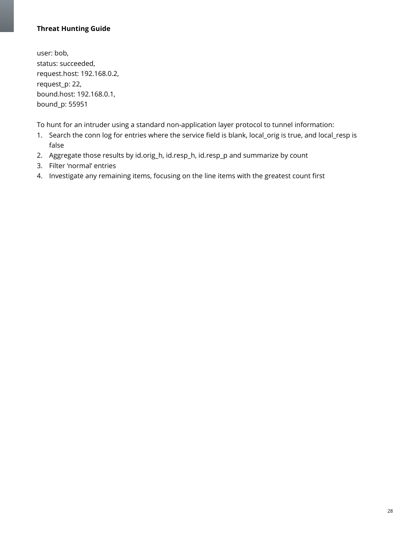user: bob, status: succeeded, request.host: 192.168.0.2, request\_p: 22, bound.host: 192.168.0.1, bound\_p: 55951

To hunt for an intruder using a standard non-application layer protocol to tunnel information:

- 1. Search the conn log for entries where the service field is blank, local\_orig is true, and local\_resp is false
- 2. Aggregate those results by id.orig\_h, id.resp\_h, id.resp\_p and summarize by count
- 3. Filter 'normal' entries
- 4. Investigate any remaining items, focusing on the line items with the greatest count first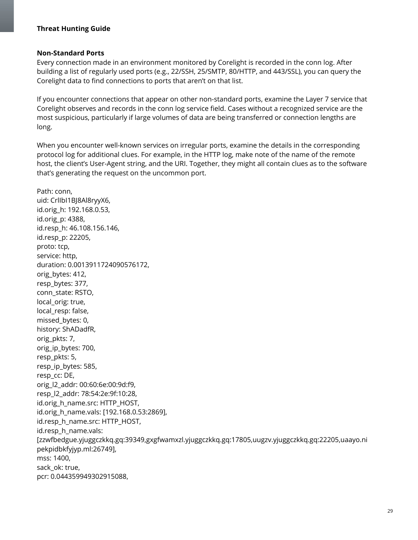#### <span id="page-28-0"></span>**Non-Standard Ports**

Every connection made in an environment monitored by Corelight is recorded in the conn log. After building a list of regularly used ports (e.g., 22/SSH, 25/SMTP, 80/HTTP, and 443/SSL), you can query the Corelight data to find connections to ports that aren't on that list.

If you encounter connections that appear on other non-standard ports, examine the Layer 7 service that Corelight observes and records in the conn log service field. Cases without a recognized service are the most suspicious, particularly if large volumes of data are being transferred or connection lengths are long.

When you encounter well-known services on irregular ports, examine the details in the corresponding protocol log for additional clues. For example, in the HTTP log, make note of the name of the remote host, the client's User-Agent string, and the URI. Together, they might all contain clues as to the software that's generating the request on the uncommon port.

Path: conn, uid: CrlIbI1BJ8Al8ryyX6, id.orig\_h: 192.168.0.53, id.orig\_p: 4388, id.resp\_h: 46.108.156.146, id.resp\_p: 22205, proto: tcp, service: http, duration: 0.0013911724090576172, orig bytes: 412, resp\_bytes: 377, conn\_state: RSTO, local orig: true, local resp: false, missed\_bytes: 0, history: ShADadfR, orig\_pkts: 7, orig\_ip\_bytes: 700, resp pkts: 5, resp\_ip\_bytes: 585, resp\_cc: DE, orig\_l2\_addr: 00:60:6e:00:9d:f9, resp\_l2\_addr: 78:54:2e:9f:10:28, id.orig\_h\_name.src: HTTP\_HOST, id.orig\_h\_name.vals: [192.168.0.53:2869], id.resp\_h\_name.src: HTTP\_HOST, id.resp\_h\_name.vals: [zzwfbedgue.yjuggczkkq.gq:39349,gxgfwamxzl.yjuggczkkq.gq:17805,uugzv.yjuggczkkq.gq:22205,uaayo.ni pekpidbkfyjyp.ml:26749], mss: 1400, sack\_ok: true, pcr: 0.044359949302915088,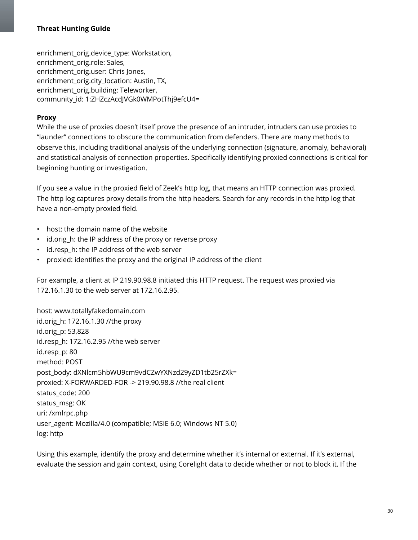enrichment orig.device type: Workstation, enrichment\_orig.role: Sales, enrichment orig.user: Chris Jones, enrichment orig.city location: Austin, TX, enrichment\_orig.building: Teleworker, community\_id: 1:ZHZczAcdJVGk0WMPotThj9efcU4=

#### <span id="page-29-0"></span>**Proxy**

While the use of proxies doesn't itself prove the presence of an intruder, intruders can use proxies to "launder" connections to obscure the communication from defenders. There are many methods to observe this, including traditional analysis of the underlying connection (signature, anomaly, behavioral) and statistical analysis of connection properties. Specifically identifying proxied connections is critical for beginning hunting or investigation.

If you see a value in the proxied field of Zeek's http log, that means an HTTP connection was proxied. The http log captures proxy details from the http headers. Search for any records in the http log that have a non-empty proxied field.

- host: the domain name of the website
- id.orig\_h: the IP address of the proxy or reverse proxy
- id.resp\_h: the IP address of the web server
- proxied: identifies the proxy and the original IP address of the client

For example, a client at IP 219.90.98.8 initiated this HTTP request. The request was proxied via 172.16.1.30 to the web server at 172.16.2.95.

host: www.totallyfakedomain.com id.orig\_h: 172.16.1.30 //the proxy id.orig\_p: 53,828 id.resp\_h: 172.16.2.95 //the web server id.resp\_p: 80 method: POST post\_body: dXNlcm5hbWU9cm9vdCZwYXNzd29yZD1tb25rZXk= proxied: X-FORWARDED-FOR -> 219.90.98.8 //the real client status\_code: 200 status\_msg: OK uri: /xmlrpc.php user\_agent: Mozilla/4.0 (compatible; MSIE 6.0; Windows NT 5.0) log: http

Using this example, identify the proxy and determine whether it's internal or external. If it's external, evaluate the session and gain context, using Corelight data to decide whether or not to block it. If the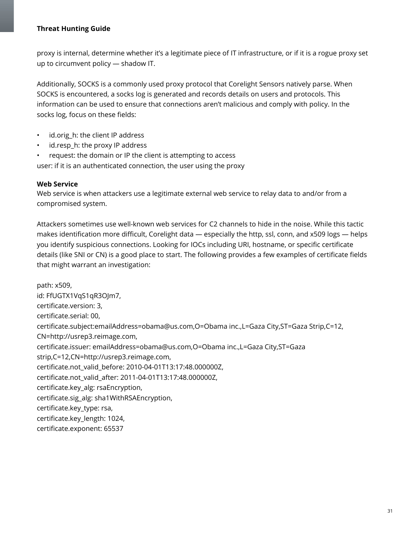proxy is internal, determine whether it's a legitimate piece of IT infrastructure, or if it is a rogue proxy set up to circumvent policy — shadow IT.

Additionally, SOCKS is a commonly used proxy protocol that Corelight Sensors natively parse. When SOCKS is encountered, a socks log is generated and records details on users and protocols. This information can be used to ensure that connections aren't malicious and comply with policy. In the socks log, focus on these fields:

- id.orig h: the client IP address
- id.resp h: the proxy IP address
- request: the domain or IP the client is attempting to access

user: if it is an authenticated connection, the user using the proxy

## <span id="page-30-0"></span>**Web Service**

Web service is when attackers use a legitimate external web service to relay data to and/or from a compromised system.

Attackers sometimes use well-known web services for C2 channels to hide in the noise. While this tactic makes identification more difficult, Corelight data — especially the http, ssl, conn, and x509 logs — helps you identify suspicious connections. Looking for IOCs including URI, hostname, or specific certificate details (like SNI or CN) is a good place to start. The following provides a few examples of certificate fields that might warrant an investigation:

path: x509, id: FfUGTX1VqS1qR3OJm7, certificate.version: 3, certificate.serial: 00, certificate.subject:emailAddress=obama@us.com,O=Obama inc.,L=Gaza City,ST=Gaza Strip,C=12, CN=http://usrep3.reimage.com, certificate.issuer: emailAddress=obama@us.com,O=Obama inc.,L=Gaza City,ST=Gaza strip,C=12,CN=http://usrep3.reimage.com, certificate.not\_valid\_before: 2010-04-01T13:17:48.000000Z, certificate.not\_valid\_after: 2011-04-01T13:17:48.000000Z, certificate.key\_alg: rsaEncryption, certificate.sig\_alg: sha1WithRSAEncryption, certificate.key\_type: rsa, certificate.key\_length: 1024, certificate.exponent: 65537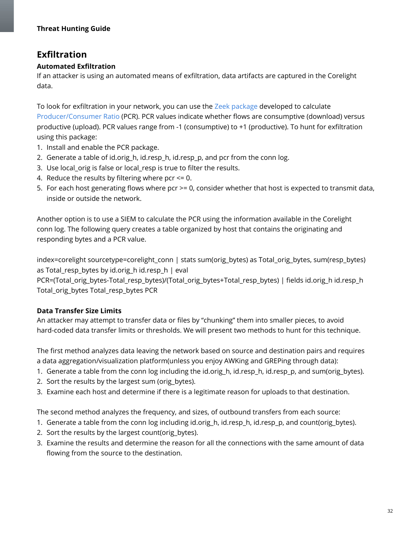# **Exfiltration**

# <span id="page-31-0"></span>**Automated Exfiltration**

If an attacker is using an automated means of exfiltration, data artifacts are captured in the Corelight data.

To look for exfiltration in your network, you can use the Zeek [package](https://github.com/reservoirlabs/bro-producer-consumer-ratio) developed to calculate [Producer/Consumer](https://resources.sei.cmu.edu/library/asset-view.cfm?assetid=90057) Ratio (PCR). PCR values indicate whether flows are consumptive (download) versus productive (upload). PCR values range from -1 (consumptive) to +1 (productive). To hunt for exfiltration using this package:

- 1. Install and enable the PCR package.
- 2. Generate a table of id.orig\_h, id.resp\_h, id.resp\_p, and pcr from the conn log.
- 3. Use local\_orig is false or local\_resp is true to filter the results.
- 4. Reduce the results by filtering where  $pc < 0$ .
- 5. For each host generating flows where pcr >= 0, consider whether that host is expected to transmit data, inside or outside the network.

Another option is to use a SIEM to calculate the PCR using the information available in the Corelight conn log. The following query creates a table organized by host that contains the originating and responding bytes and a PCR value.

index=corelight sourcetype=corelight\_conn | stats sum(orig\_bytes) as Total\_orig\_bytes, sum(resp\_bytes) as Total\_resp\_bytes by id.orig\_h id.resp\_h | eval

PCR=(Total\_orig\_bytes-Total\_resp\_bytes)/(Total\_orig\_bytes+Total\_resp\_bytes) | fields id.orig\_h id.resp\_h Total orig bytes Total resp bytes PCR

# <span id="page-31-1"></span>**Data Transfer Size Limits**

An attacker may attempt to transfer data or files by "chunking" them into smaller pieces, to avoid hard-coded data transfer limits or thresholds. We will present two methods to hunt for this technique.

The first method analyzes data leaving the network based on source and destination pairs and requires a data aggregation/visualization platform(unless you enjoy AWKing and GREPing through data):

- 1. Generate a table from the conn log including the id.orig\_h, id.resp\_h, id.resp\_p, and sum(orig\_bytes).
- 2. Sort the results by the largest sum (orig\_bytes).
- 3. Examine each host and determine if there is a legitimate reason for uploads to that destination.

The second method analyzes the frequency, and sizes, of outbound transfers from each source:

- 1. Generate a table from the conn log including id.orig\_h, id.resp\_h, id.resp\_p, and count(orig\_bytes).
- 2. Sort the results by the largest count(orig bytes).
- 3. Examine the results and determine the reason for all the connections with the same amount of data flowing from the source to the destination.